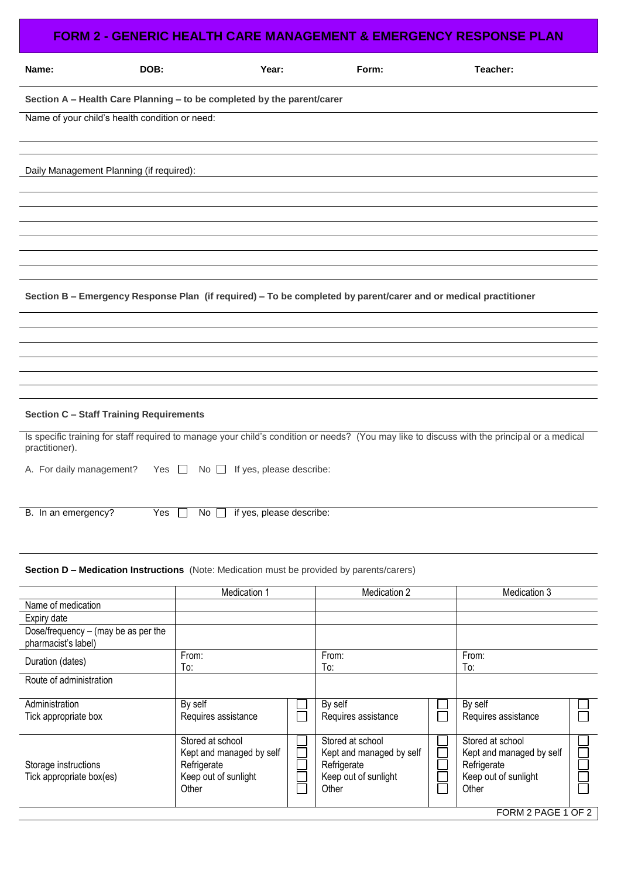| Name:<br>DOB:<br>Teacher:<br>Year:<br>Form:<br>Section A - Health Care Planning - to be completed by the parent/carer<br>Name of your child's health condition or need:<br>Daily Management Planning (if required):<br>Section B - Emergency Response Plan (if required) - To be completed by parent/carer and or medical practitioner<br><b>Section C - Staff Training Requirements</b><br>Is specific training for staff required to manage your child's condition or needs? (You may like to discuss with the principal or a medical<br>practitioner).<br>A. For daily management? Yes $\Box$<br>If yes, please describe:<br>No $\Box$<br>B. In an emergency?<br>Yes<br>if yes, please describe:<br>No $\square$<br>$\perp$<br><b>Section D - Medication Instructions</b> (Note: Medication must be provided by parents/carers)<br>Medication 1<br>Medication 2<br>Medication 3<br>Name of medication<br>Expiry date<br>Dose/frequency $-$ (may be as per the<br>pharmacist's label)<br>From:<br>From:<br>From:<br>Duration (dates)<br>To:<br>To:<br>To:<br>Route of administration<br>Administration<br>By self<br>By self<br>By self<br>Requires assistance<br>Requires assistance<br>Tick appropriate box<br>Requires assistance<br>Stored at school<br>Stored at school<br>Stored at school<br>Kept and managed by self<br>Kept and managed by self<br>Kept and managed by self<br>Refrigerate<br>Refrigerate<br>Refrigerate<br>Storage instructions<br>Keep out of sunlight<br>Keep out of sunlight<br>Tick appropriate box(es)<br>Keep out of sunlight<br>Other<br>Other<br>Other | <b>FORM 2 - GENERIC HEALTH CARE MANAGEMENT &amp; EMERGENCY RESPONSE PLAN</b> |  |  |  |  |  |  |  |  |
|--------------------------------------------------------------------------------------------------------------------------------------------------------------------------------------------------------------------------------------------------------------------------------------------------------------------------------------------------------------------------------------------------------------------------------------------------------------------------------------------------------------------------------------------------------------------------------------------------------------------------------------------------------------------------------------------------------------------------------------------------------------------------------------------------------------------------------------------------------------------------------------------------------------------------------------------------------------------------------------------------------------------------------------------------------------------------------------------------------------------------------------------------------------------------------------------------------------------------------------------------------------------------------------------------------------------------------------------------------------------------------------------------------------------------------------------------------------------------------------------------------------------------------------------------------------------------------------------|------------------------------------------------------------------------------|--|--|--|--|--|--|--|--|
|                                                                                                                                                                                                                                                                                                                                                                                                                                                                                                                                                                                                                                                                                                                                                                                                                                                                                                                                                                                                                                                                                                                                                                                                                                                                                                                                                                                                                                                                                                                                                                                            |                                                                              |  |  |  |  |  |  |  |  |
|                                                                                                                                                                                                                                                                                                                                                                                                                                                                                                                                                                                                                                                                                                                                                                                                                                                                                                                                                                                                                                                                                                                                                                                                                                                                                                                                                                                                                                                                                                                                                                                            |                                                                              |  |  |  |  |  |  |  |  |
|                                                                                                                                                                                                                                                                                                                                                                                                                                                                                                                                                                                                                                                                                                                                                                                                                                                                                                                                                                                                                                                                                                                                                                                                                                                                                                                                                                                                                                                                                                                                                                                            |                                                                              |  |  |  |  |  |  |  |  |
|                                                                                                                                                                                                                                                                                                                                                                                                                                                                                                                                                                                                                                                                                                                                                                                                                                                                                                                                                                                                                                                                                                                                                                                                                                                                                                                                                                                                                                                                                                                                                                                            |                                                                              |  |  |  |  |  |  |  |  |
|                                                                                                                                                                                                                                                                                                                                                                                                                                                                                                                                                                                                                                                                                                                                                                                                                                                                                                                                                                                                                                                                                                                                                                                                                                                                                                                                                                                                                                                                                                                                                                                            |                                                                              |  |  |  |  |  |  |  |  |
|                                                                                                                                                                                                                                                                                                                                                                                                                                                                                                                                                                                                                                                                                                                                                                                                                                                                                                                                                                                                                                                                                                                                                                                                                                                                                                                                                                                                                                                                                                                                                                                            |                                                                              |  |  |  |  |  |  |  |  |
|                                                                                                                                                                                                                                                                                                                                                                                                                                                                                                                                                                                                                                                                                                                                                                                                                                                                                                                                                                                                                                                                                                                                                                                                                                                                                                                                                                                                                                                                                                                                                                                            |                                                                              |  |  |  |  |  |  |  |  |
|                                                                                                                                                                                                                                                                                                                                                                                                                                                                                                                                                                                                                                                                                                                                                                                                                                                                                                                                                                                                                                                                                                                                                                                                                                                                                                                                                                                                                                                                                                                                                                                            |                                                                              |  |  |  |  |  |  |  |  |
|                                                                                                                                                                                                                                                                                                                                                                                                                                                                                                                                                                                                                                                                                                                                                                                                                                                                                                                                                                                                                                                                                                                                                                                                                                                                                                                                                                                                                                                                                                                                                                                            |                                                                              |  |  |  |  |  |  |  |  |
|                                                                                                                                                                                                                                                                                                                                                                                                                                                                                                                                                                                                                                                                                                                                                                                                                                                                                                                                                                                                                                                                                                                                                                                                                                                                                                                                                                                                                                                                                                                                                                                            |                                                                              |  |  |  |  |  |  |  |  |
|                                                                                                                                                                                                                                                                                                                                                                                                                                                                                                                                                                                                                                                                                                                                                                                                                                                                                                                                                                                                                                                                                                                                                                                                                                                                                                                                                                                                                                                                                                                                                                                            |                                                                              |  |  |  |  |  |  |  |  |
|                                                                                                                                                                                                                                                                                                                                                                                                                                                                                                                                                                                                                                                                                                                                                                                                                                                                                                                                                                                                                                                                                                                                                                                                                                                                                                                                                                                                                                                                                                                                                                                            |                                                                              |  |  |  |  |  |  |  |  |
|                                                                                                                                                                                                                                                                                                                                                                                                                                                                                                                                                                                                                                                                                                                                                                                                                                                                                                                                                                                                                                                                                                                                                                                                                                                                                                                                                                                                                                                                                                                                                                                            |                                                                              |  |  |  |  |  |  |  |  |
|                                                                                                                                                                                                                                                                                                                                                                                                                                                                                                                                                                                                                                                                                                                                                                                                                                                                                                                                                                                                                                                                                                                                                                                                                                                                                                                                                                                                                                                                                                                                                                                            |                                                                              |  |  |  |  |  |  |  |  |
|                                                                                                                                                                                                                                                                                                                                                                                                                                                                                                                                                                                                                                                                                                                                                                                                                                                                                                                                                                                                                                                                                                                                                                                                                                                                                                                                                                                                                                                                                                                                                                                            |                                                                              |  |  |  |  |  |  |  |  |
|                                                                                                                                                                                                                                                                                                                                                                                                                                                                                                                                                                                                                                                                                                                                                                                                                                                                                                                                                                                                                                                                                                                                                                                                                                                                                                                                                                                                                                                                                                                                                                                            |                                                                              |  |  |  |  |  |  |  |  |
|                                                                                                                                                                                                                                                                                                                                                                                                                                                                                                                                                                                                                                                                                                                                                                                                                                                                                                                                                                                                                                                                                                                                                                                                                                                                                                                                                                                                                                                                                                                                                                                            |                                                                              |  |  |  |  |  |  |  |  |
|                                                                                                                                                                                                                                                                                                                                                                                                                                                                                                                                                                                                                                                                                                                                                                                                                                                                                                                                                                                                                                                                                                                                                                                                                                                                                                                                                                                                                                                                                                                                                                                            |                                                                              |  |  |  |  |  |  |  |  |
|                                                                                                                                                                                                                                                                                                                                                                                                                                                                                                                                                                                                                                                                                                                                                                                                                                                                                                                                                                                                                                                                                                                                                                                                                                                                                                                                                                                                                                                                                                                                                                                            |                                                                              |  |  |  |  |  |  |  |  |
|                                                                                                                                                                                                                                                                                                                                                                                                                                                                                                                                                                                                                                                                                                                                                                                                                                                                                                                                                                                                                                                                                                                                                                                                                                                                                                                                                                                                                                                                                                                                                                                            |                                                                              |  |  |  |  |  |  |  |  |
|                                                                                                                                                                                                                                                                                                                                                                                                                                                                                                                                                                                                                                                                                                                                                                                                                                                                                                                                                                                                                                                                                                                                                                                                                                                                                                                                                                                                                                                                                                                                                                                            |                                                                              |  |  |  |  |  |  |  |  |
|                                                                                                                                                                                                                                                                                                                                                                                                                                                                                                                                                                                                                                                                                                                                                                                                                                                                                                                                                                                                                                                                                                                                                                                                                                                                                                                                                                                                                                                                                                                                                                                            |                                                                              |  |  |  |  |  |  |  |  |
|                                                                                                                                                                                                                                                                                                                                                                                                                                                                                                                                                                                                                                                                                                                                                                                                                                                                                                                                                                                                                                                                                                                                                                                                                                                                                                                                                                                                                                                                                                                                                                                            |                                                                              |  |  |  |  |  |  |  |  |
|                                                                                                                                                                                                                                                                                                                                                                                                                                                                                                                                                                                                                                                                                                                                                                                                                                                                                                                                                                                                                                                                                                                                                                                                                                                                                                                                                                                                                                                                                                                                                                                            |                                                                              |  |  |  |  |  |  |  |  |
|                                                                                                                                                                                                                                                                                                                                                                                                                                                                                                                                                                                                                                                                                                                                                                                                                                                                                                                                                                                                                                                                                                                                                                                                                                                                                                                                                                                                                                                                                                                                                                                            |                                                                              |  |  |  |  |  |  |  |  |
|                                                                                                                                                                                                                                                                                                                                                                                                                                                                                                                                                                                                                                                                                                                                                                                                                                                                                                                                                                                                                                                                                                                                                                                                                                                                                                                                                                                                                                                                                                                                                                                            |                                                                              |  |  |  |  |  |  |  |  |
|                                                                                                                                                                                                                                                                                                                                                                                                                                                                                                                                                                                                                                                                                                                                                                                                                                                                                                                                                                                                                                                                                                                                                                                                                                                                                                                                                                                                                                                                                                                                                                                            |                                                                              |  |  |  |  |  |  |  |  |
|                                                                                                                                                                                                                                                                                                                                                                                                                                                                                                                                                                                                                                                                                                                                                                                                                                                                                                                                                                                                                                                                                                                                                                                                                                                                                                                                                                                                                                                                                                                                                                                            |                                                                              |  |  |  |  |  |  |  |  |
| FORM 2 PAGE 1 OF 2                                                                                                                                                                                                                                                                                                                                                                                                                                                                                                                                                                                                                                                                                                                                                                                                                                                                                                                                                                                                                                                                                                                                                                                                                                                                                                                                                                                                                                                                                                                                                                         |                                                                              |  |  |  |  |  |  |  |  |